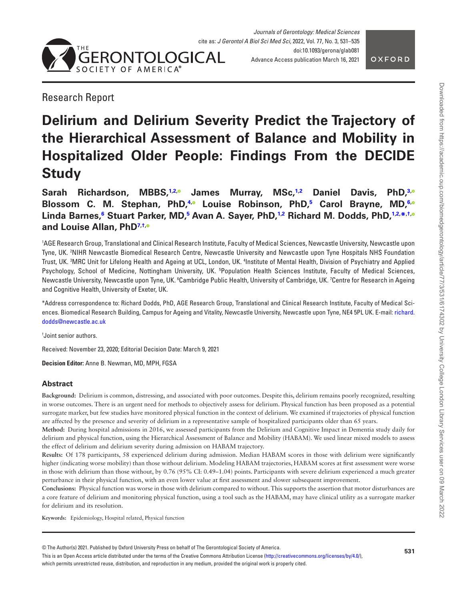

<span id="page-0-8"></span>

# Research Report

# **Delirium and Delirium Severity Predict the Trajectory of the Hierarchical Assessment of Balance and Mobility in Hospitalized Older People: Findings From the DECIDE Study**

**Sarah Richardson, MBBS,[1,](#page-0-0)[2](#page-0-1)[,](https://orcid.org/0000-0002-5771-1845) James Murray, MSc[,1](#page-0-0)[,2](#page-0-1) Daniel Davis, PhD,[3](#page-0-2)[,](https://orcid.org/0000-0002-1560-1955) Blossom C. M. Stephan, PhD,[4](#page-0-3)[,](https://orcid.org/0000-0002-1235-360X) Louise Robinson, PhD[,5](#page-0-4) Carol Brayne, MD,[6](#page-0-5)[,](https://orcid.org/0000-0001-5307-663X)**  $\blacksquare$ Linda Barnes[,](https://orcid.org/0000-0003-4968-7678)  $\delta$  Stuart Parker, MD,  $\delta$  Avan A. Sayer, PhD,  $\uparrow$  2 Richard M. Dodds, PhD,  $\uparrow$  2. $\ast$   $\uparrow$ **and Louise Allan, Ph[D7,](#page-0-8)[†](#page-0-7)[,](https://orcid.org/0000-0002-8912-4901)**

<span id="page-0-4"></span><span id="page-0-3"></span><span id="page-0-2"></span><span id="page-0-1"></span><span id="page-0-0"></span>1 AGE Research Group, Translational and Clinical Research Institute, Faculty of Medical Sciences, Newcastle University, Newcastle upon Tyne, UK. 2 NIHR Newcastle Biomedical Research Centre, Newcastle University and Newcastle upon Tyne Hospitals NHS Foundation Trust, UK. <sup>3</sup>MRC Unit for Lifelong Health and Ageing at UCL, London, UK. <sup>4</sup>Institute of Mental Health, Division of Psychiatry and Applied Psychology, School of Medicine, Nottingham University, UK. <sup>s</sup>Population Health Sciences Institute, Faculty of Medical Sciences, Newcastle University, Newcastle upon Tyne, UK. <sup>6</sup>Cambridge Public Health, University of Cambridge, UK. <sup>7</sup>Centre for Research in Ageing and Cognitive Health, University of Exeter, UK.

<span id="page-0-6"></span><span id="page-0-5"></span>\*Address correspondence to: Richard Dodds, PhD, AGE Research Group, Translational and Clinical Research Institute, Faculty of Medical Sciences. Biomedical Research Building, Campus for Ageing and Vitality, Newcastle University, Newcastle upon Tyne, NE4 5PL UK. E-mail: [richard.](mailto:richard.dodds@newcastle.ac.uk?subject=) [dodds@newcastle.ac.uk](mailto:richard.dodds@newcastle.ac.uk?subject=)

<span id="page-0-7"></span>† Joint senior authors.

Received: November 23, 2020; Editorial Decision Date: March 9, 2021

**Decision Editor:** Anne B. Newman, MD, MPH, FGSA

# **Abstract**

**Background:** Delirium is common, distressing, and associated with poor outcomes. Despite this, delirium remains poorly recognized, resulting in worse outcomes. There is an urgent need for methods to objectively assess for delirium. Physical function has been proposed as a potential surrogate marker, but few studies have monitored physical function in the context of delirium. We examined if trajectories of physical function are affected by the presence and severity of delirium in a representative sample of hospitalized participants older than 65 years.

**Method:** During hospital admissions in 2016, we assessed participants from the Delirium and Cognitive Impact in Dementia study daily for delirium and physical function, using the Hierarchical Assessment of Balance and Mobility (HABAM). We used linear mixed models to assess the effect of delirium and delirium severity during admission on HABAM trajectory.

**Results:** Of 178 participants, 58 experienced delirium during admission. Median HABAM scores in those with delirium were significantly higher (indicating worse mobility) than those without delirium. Modeling HABAM trajectories, HABAM scores at first assessment were worse in those with delirium than those without, by 0.76 (95% CI: 0.49–1.04) points. Participants with severe delirium experienced a much greater perturbance in their physical function, with an even lower value at first assessment and slower subsequent improvement.

**Conclusions:** Physical function was worse in those with delirium compared to without. This supports the assertion that motor disturbances are a core feature of delirium and monitoring physical function, using a tool such as the HABAM, may have clinical utility as a surrogate marker for delirium and its resolution.

**Keywords:** Epidemiology, Hospital related, Physical function

© The Author(s) 2021. Published by Oxford University Press on behalf of The Gerontological Society of America.

This is an Open Access article distributed under the terms of the Creative Commons Attribution License [\(http://creativecommons.org/licenses/by/4.0/](http://creativecommons.org/licenses/by/4.0/)), which permits unrestricted reuse, distribution, and reproduction in any medium, provided the original work is properly cited.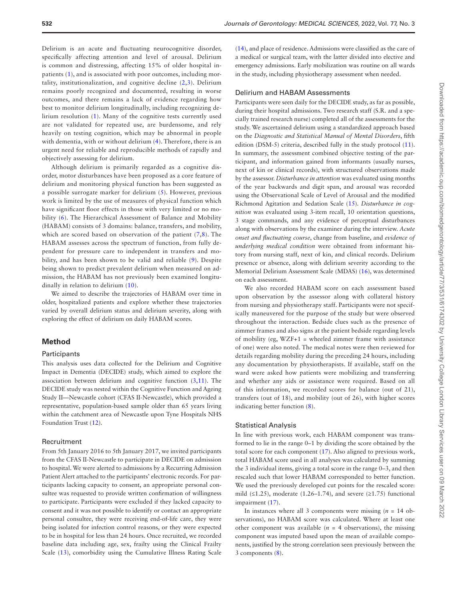Delirium is an acute and fluctuating neurocognitive disorder, specifically affecting attention and level of arousal. Delirium is common and distressing, affecting 15% of older hospital inpatients ([1](#page-4-0)), and is associated with poor outcomes, including mortality, institutionalization, and cognitive decline ([2](#page-4-1),[3](#page-4-2)). Delirium remains poorly recognized and documented, resulting in worse outcomes, and there remains a lack of evidence regarding how best to monitor delirium longitudinally, including recognizing delirium resolution [\(1](#page-4-0)). Many of the cognitive tests currently used are not validated for repeated use, are burdensome, and rely heavily on testing cognition, which may be abnormal in people with dementia, with or without delirium [\(4\)](#page-4-3). Therefore, there is an urgent need for reliable and reproducible methods of rapidly and objectively assessing for delirium.

Although delirium is primarily regarded as a cognitive disorder, motor disturbances have been proposed as a core feature of delirium and monitoring physical function has been suggested as a possible surrogate marker for delirium ([5\)](#page-4-4). However, previous work is limited by the use of measures of physical function which have significant floor effects in those with very limited or no mobility [\(6\)](#page-4-5). The Hierarchical Assessment of Balance and Mobility (HABAM) consists of 3 domains: balance, transfers, and mobility, which are scored based on observation of the patient  $(7,8)$  $(7,8)$  $(7,8)$  $(7,8)$  $(7,8)$ . The HABAM assesses across the spectrum of function, from fully dependent for pressure care to independent in transfers and mobility, and has been shown to be valid and reliable [\(9\)](#page-4-8). Despite being shown to predict prevalent delirium when measured on admission, the HABAM has not previously been examined longitudinally in relation to delirium ([10](#page-4-9)).

We aimed to describe the trajectories of HABAM over time in older, hospitalized patients and explore whether these trajectories varied by overall delirium status and delirium severity, along with exploring the effect of delirium on daily HABAM scores.

# **Method**

#### **Participants**

This analysis uses data collected for the Delirium and Cognitive Impact in Dementia (DECIDE) study, which aimed to explore the association between delirium and cognitive function [\(3,](#page-4-2)[11\)](#page-4-10). The DECIDE study was nested within the Cognitive Function and Ageing Study II—Newcastle cohort (CFAS II-Newcastle), which provided a representative, population-based sample older than 65 years living within the catchment area of Newcastle upon Tyne Hospitals NHS Foundation Trust ([12\)](#page-4-11).

# Recruitment

From 5th January 2016 to 5th January 2017, we invited participants from the CFAS II-Newcastle to participate in DECIDE on admission to hospital. We were alerted to admissions by a Recurring Admission Patient Alert attached to the participants' electronic records. For participants lacking capacity to consent, an appropriate personal consultee was requested to provide written confirmation of willingness to participate. Participants were excluded if they lacked capacity to consent and it was not possible to identify or contact an appropriate personal consultee, they were receiving end-of-life care, they were being isolated for infection control reasons, or they were expected to be in hospital for less than 24 hours. Once recruited, we recorded baseline data including age, sex, frailty using the Clinical Frailty Scale [\(13\)](#page-4-12), comorbidity using the Cumulative Illness Rating Scale

[\(14](#page-4-13)), and place of residence. Admissions were classified as the care of a medical or surgical team, with the latter divided into elective and emergency admissions. Early mobilization was routine on all wards in the study, including physiotherapy assessment when needed.

# Delirium and HABAM Assessments

Participants were seen daily for the DECIDE study, as far as possible, during their hospital admissions. Two research staff (S.R. and a specially trained research nurse) completed all of the assessments for the study. We ascertained delirium using a standardized approach based on the *Diagnostic and Statistical Manual of Mental Disorders*, fifth edition (DSM-5) criteria, described fully in the study protocol [\(11](#page-4-10)). In summary, the assessment combined objective testing of the participant, and information gained from informants (usually nurses, next of kin or clinical records), with structured observations made by the assessor. *Disturbance in attention* was evaluated using months of the year backwards and digit span, and arousal was recorded using the Observational Scale of Level of Arousal and the modified Richmond Agitation and Sedation Scale ([15\)](#page-4-14). *Disturbance in cognition* was evaluated using 3-item recall, 10 orientation questions, 3 stage commands, and any evidence of perceptual disturbances along with observations by the examiner during the interview. *Acute onset and fluctuating course*, change from baseline, and *evidence of underlying medical condition* were obtained from informant history from nursing staff, next of kin, and clinical records. Delirium presence or absence, along with delirium severity according to the Memorial Delirium Assessment Scale (MDAS) ([16](#page-4-15)), was determined on each assessment.

We also recorded HABAM score on each assessment based upon observation by the assessor along with collateral history from nursing and physiotherapy staff. Participants were not specifically maneuvered for the purpose of the study but were observed throughout the interaction. Bedside clues such as the presence of zimmer frames and also signs at the patient bedside regarding levels of mobility (eg, WZF+1 = wheeled zimmer frame with assistance of one) were also noted. The medical notes were then reviewed for details regarding mobility during the preceding 24 hours, including any documentation by physiotherapists. If available, staff on the ward were asked how patients were mobilizing and transferring and whether any aids or assistance were required. Based on all of this information, we recorded scores for balance (out of 21), transfers (out of 18), and mobility (out of 26), with higher scores indicating better function [\(8\)](#page-4-7).

### Statistical Analysis

In line with previous work, each HABAM component was transformed to lie in the range 0–1 by dividing the score obtained by the total score for each component ([17\)](#page-4-16). Also aligned to previous work, total HABAM score used in all analyses was calculated by summing the 3 individual items, giving a total score in the range 0–3, and then rescaled such that lower HABAM corresponded to better function. We used the previously developed cut points for the rescaled score: mild  $(\leq 1.25)$ , moderate  $(1.26-1.74)$ , and severe  $(\geq 1.75)$  functional impairment ([17](#page-4-16)).

In instances where all 3 components were missing (*n* = 14 observations), no HABAM score was calculated. Where at least one other component was available  $(n = 4$  observations), the missing component was imputed based upon the mean of available components, justified by the strong correlation seen previously between the 3 components ([8](#page-4-7)).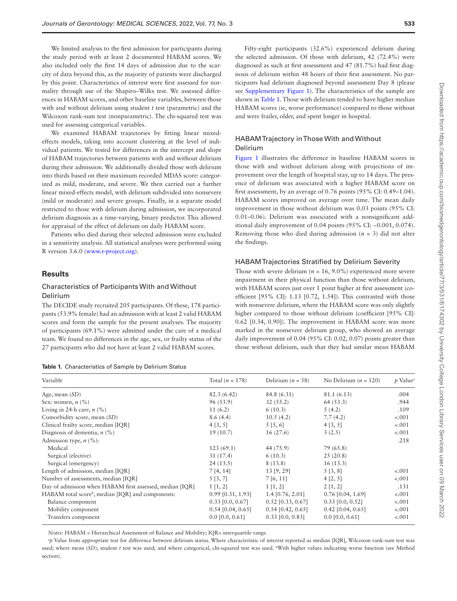We limited analysis to the first admission for participants during the study period with at least 2 documented HABAM scores. We also included only the first 14 days of admission due to the scarcity of data beyond this, as the majority of patients were discharged by this point. Characteristics of interest were first assessed for normality through use of the Shapiro–Wilks test. We assessed differences in HABAM scores, and other baseline variables, between those with and without delirium using student *t* test (parametric) and the Wilcoxon rank-sum test (nonparametric). The chi-squared test was used for assessing categorical variables.

We examined HABAM trajectories by fitting linear mixedeffects models, taking into account clustering at the level of individual patients. We tested for differences in the intercept and slope of HABAM trajectories between patients with and without delirium during their admission. We additionally divided those with delirium into thirds based on their maximum recorded MDAS score: categorized as mild, moderate, and severe. We then carried out a further linear mixed-effects model, with delirium subdivided into nonsevere (mild or moderate) and severe groups. Finally, in a separate model restricted to those with delirium during admission, we incorporated delirium diagnosis as a time-varying, binary predictor. This allowed for appraisal of the effect of delirium on daily HABAM score.

Patients who died during their selected admission were excluded in a sensitivity analysis. All statistical analyses were performed using R version 3.6.0 [\(www.r-project.org\)](http://www.r-project.org).

# **Results**

# Characteristics of Participants With and Without Delirium

The DECIDE study recruited 205 participants. Of these, 178 participants (53.9% female) had an admission with at least 2 valid HABAM scores and form the sample for the present analyses. The majority of participants (69.1%) were admitted under the care of a medical team. We found no differences in the age, sex, or frailty status of the 27 participants who did not have at least 2 valid HABAM scores.

<span id="page-2-0"></span>

|  | Table 1. Characteristics of Sample by Delirium Status |  |  |  |
|--|-------------------------------------------------------|--|--|--|
|--|-------------------------------------------------------|--|--|--|

Fifty-eight participants (32.6%) experienced delirium during the selected admission. Of those with delirium, 42 (72.4%) were diagnosed as such at first assessment and 47 (81.7%) had first diagnosis of delirium within 48 hours of their first assessment. No participants had delirium diagnosed beyond assessment Day 8 (please see [Supplementary Figure 1\)](http://academic.oup.com/biomedgerontology/article-lookup/doi/10.1093/gerona/glab081#supplementary-data). The characteristics of the sample are shown in [Table 1.](#page-2-0) Those with delirium tended to have higher median HABAM scores (ie, worse performance) compared to those without and were frailer, older, and spent longer in hospital.

# HABAM Trajectory in Those With and Without Delirium

[Figure 1](#page-3-0) illustrates the difference in baseline HABAM scores in those with and without delirium along with projections of improvement over the length of hospital stay, up to 14 days. The presence of delirium was associated with a higher HABAM score on first assessment, by an average of 0.76 points (95% CI: 0.49–1.04). HABAM scores improved on average over time. The mean daily improvement in those without delirium was 0.03 points (95% CI: 0.01–0.06). Delirium was associated with a nonsignificant additional daily improvement of 0.04 points (95% CI: −0.001, 0.074). Removing those who died during admission (*n* = 3) did not alter the findings.

#### HABAM Trajectories Stratified by Delirium Severity

Those with severe delirium ( $n = 16, 9.0\%$ ) experienced more severe impairment in their physical function than those without delirium, with HABAM scores just over 1 point higher at first assessment (coefficient [95% CI]: 1.13 [0.72, 1.54]). This contrasted with those with nonsevere delirium, where the HABAM score was only slightly higher compared to those without delirium (coefficient [95% CI]: 0.62 [0.34, 0.90]). The improvement in HABAM score was more marked in the nonsevere delirium group, who showed an average daily improvement of 0.04 (95% CI: 0.02, 0.07) points greater than those without delirium, such that they had similar mean HABAM

| Variable                                                      | Total $(n = 178)$   | Delirium ( $n = 58$ ) | No Delirium ( $n = 120$ ) | <i>p</i> Value |
|---------------------------------------------------------------|---------------------|-----------------------|---------------------------|----------------|
| Age, mean $(SD)$                                              | 82.3(6.42)          | 84.8 (6.31)           | 81.1 (6.13)               | .004           |
| Sex: women, $n$ (%)                                           | 96 (53.9)           | 32(55.2)              | 64 (53.3)                 | .944           |
| Living in 24-h care, $n$ (%)                                  | 11(6.2)             | 6(10.3)               | 5(4.2)                    | .109           |
| Comorbidity score, mean (SD)                                  | 8.6(4.4)            | 10.5(4.2)             | 7.7(4.2)                  | $-.001$        |
| Clinical frailty score, median [IQR]                          | 4 [3, 5]            | 5 [5, 6]              | 4 [3, 5]                  | $-.001$        |
| Diagnosis of dementia, $n$ (%)                                | 19(10.7)            | 16(27.6)              | 3(2.5)                    | $-.001$        |
| Admission type, $n$ (%):                                      |                     |                       |                           | .218           |
| Medical                                                       | 123(69.1)           | 44 (75.9)             | 79 (65.8)                 |                |
| Surgical (elective)                                           | 31(17.4)            | 6(10.3)               | 25(20.8)                  |                |
| Surgical (emergency)                                          | 24(13.5)            | 8 (13.8)              | 16(13.3)                  |                |
| Length of admission, median [IQR]                             | 7[4, 14]            | 13 [9, 29]            | 5[3, 8]                   | $-.001$        |
| Number of assessments, median [IQR]                           | 5 [3, 7]            | 7[6, 11]              | 4 [2, 5]                  | $-.001$        |
| Day of admission when HABAM first assessed, median [IQR]      | $1\,[1,2]$          | $1\;[1,2]$            | 2 [1, 2]                  | .131           |
| HABAM total score <sup>b</sup> , median [IQR] and components: | $0.99$ [0.31, 1.93] | $1.4$ [0.76, 2.01]    | $0.76$ [0.04, 1.69]       | $-.001$        |
| Balance component                                             | $0.33$ [0.0, 0.67]  | $0.52$ [0.33, 0.67]   | $0.33$ [0.0, 0.52]        | $-.001$        |
| Mobility component                                            | $0.54$ [0.04, 0.65] | $0.54$ [0.42, 0.65]   | $0.42$ [0.04, 0.65]       | $-.001$        |
| Transfers component                                           | $0.0$ [0.0, 0.61]   | $0.33$ [0.0, 0.83]    | $0.0$ [0.0, 0.61]         | $-.001$        |

*Notes*: HABAM = Hierarchical Assessment of Balance and Mobility; IQR= interquartile range.

a *p* Value from appropriate test for difference between delirium status. Where characteristic of interest reported as median [IQR], Wilcoxon rank-sum test was used; where mean (SD), student *t* test was used; and where categorical, chi-squared test was used. <sup>b</sup>With higher values indicating worse function (see Method section)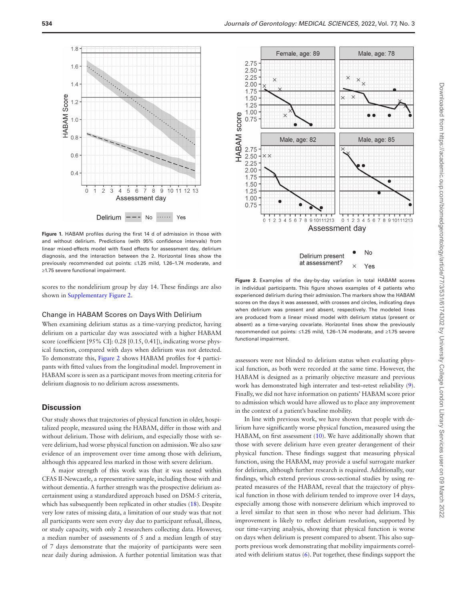

<span id="page-3-0"></span>**Figure 1.** HABAM profiles during the first 14 d of admission in those with and without delirium. Predictions (with 95% confidence intervals) from linear mixed-effects model with fixed effects for assessment day, delirium diagnosis, and the interaction between the 2. Horizontal lines show the previously recommended cut points: ≤1.25 mild, 1.26–1.74 moderate, and ≥1.75 severe functional impairment.

scores to the nondelirium group by day 14. These findings are also shown in [Supplementary Figure 2.](http://academic.oup.com/biomedgerontology/article-lookup/doi/10.1093/gerona/glab081#supplementary-data)

#### Change in HABAM Scores on Days With Delirium

When examining delirium status as a time-varying predictor, having delirium on a particular day was associated with a higher HABAM score (coefficient [95% CI]: 0.28 [0.15, 0.41]), indicating worse physical function, compared with days when delirium was not detected. To demonstrate this, [Figure 2](#page-3-1) shows HABAM profiles for 4 participants with fitted values from the longitudinal model. Improvement in HABAM score is seen as a participant moves from meeting criteria for delirium diagnosis to no delirium across assessments.

# **Discussion**

Our study shows that trajectories of physical function in older, hospitalized people, measured using the HABAM, differ in those with and without delirium. Those with delirium, and especially those with severe delirium, had worse physical function on admission. We also saw evidence of an improvement over time among those with delirium, although this appeared less marked in those with severe delirium.

A major strength of this work was that it was nested within CFAS II-Newcastle, a representative sample, including those with and without dementia. A further strength was the prospective delirium ascertainment using a standardized approach based on DSM-5 criteria, which has subsequently been replicated in other studies ([18\)](#page-4-17). Despite very low rates of missing data, a limitation of our study was that not all participants were seen every day due to participant refusal, illness, or study capacity, with only 2 researchers collecting data. However, a median number of assessments of 5 and a median length of stay of 7 days demonstrate that the majority of participants were seen near daily during admission. A further potential limitation was that



<span id="page-3-1"></span>**Figure 2.** Examples of the day-by-day variation in total HABAM scores in individual participants. This figure shows examples of 4 patients who experienced delirium during their admission. The markers show the HABAM scores on the days it was assessed, with crosses and circles, indicating days when delirium was present and absent, respectively. The modeled lines are produced from a linear mixed model with delirium status (present or absent) as a time-varying covariate. Horizontal lines show the previously recommended cut points: ≤1.25 mild, 1.26–1.74 moderate, and ≥1.75 severe functional impairment.

assessors were not blinded to delirium status when evaluating physical function, as both were recorded at the same time. However, the HABAM is designed as a primarily objective measure and previous work has demonstrated high interrater and test–retest reliability ([9](#page-4-8)). Finally, we did not have information on patients' HABAM score prior to admission which would have allowed us to place any improvement in the context of a patient's baseline mobility.

In line with previous work, we have shown that people with delirium have significantly worse physical function, measured using the HABAM, on first assessment [\(10\)](#page-4-9). We have additionally shown that those with severe delirium have even greater derangement of their physical function. These findings suggest that measuring physical function, using the HABAM, may provide a useful surrogate marker for delirium, although further research is required. Additionally, our findings, which extend previous cross-sectional studies by using repeated measures of the HABAM, reveal that the trajectory of physical function in those with delirium tended to improve over 14 days, especially among those with nonsevere delirium which improved to a level similar to that seen in those who never had delirium. This improvement is likely to reflect delirium resolution, supported by our time-varying analysis, showing that physical function is worse on days when delirium is present compared to absent. This also supports previous work demonstrating that mobility impairments correlated with delirium status ([6\)](#page-4-5). Put together, these findings support the